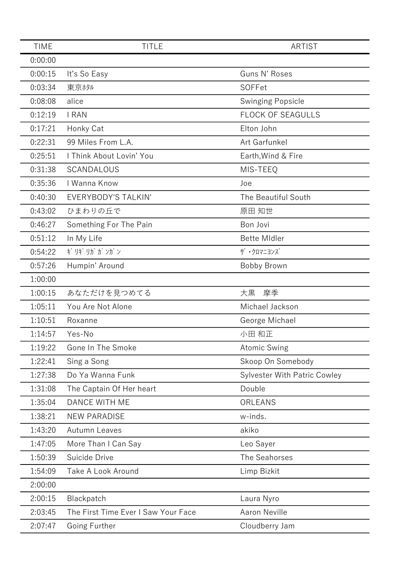| <b>TIME</b> | <b>TITLE</b>                        | <b>ARTIST</b>                       |
|-------------|-------------------------------------|-------------------------------------|
| 0:00:00     |                                     |                                     |
| 0:00:15     | It's So Easy                        | Guns N' Roses                       |
| 0:03:34     | 東京ホタル                               | SOFFet                              |
| 0:08:08     | alice                               | <b>Swinging Popsicle</b>            |
| 0:12:19     | <b>I RAN</b>                        | <b>FLOCK OF SEAGULLS</b>            |
| 0:17:21     | Honky Cat                           | Elton John                          |
| 0:22:31     | 99 Miles From L.A.                  | Art Garfunkel                       |
| 0:25:51     | I Think About Lovin' You            | Earth, Wind & Fire                  |
| 0:31:38     | SCANDALOUS                          | MIS-TEEQ                            |
| 0:35:36     | I Wanna Know                        | Joe                                 |
| 0:40:30     | EVERYBODY'S TALKIN'                 | The Beautiful South                 |
| 0:43:02     | ひまわりの丘で                             | 原田 知世                               |
| 0:46:27     | Something For The Pain              | Bon Jovi                            |
| 0:51:12     | In My Life                          | <b>Bette Midler</b>                 |
| 0:54:22     | ギリギリガガンガン                           | ザ・クロマニヨンズ                           |
| 0:57:26     | Humpin' Around                      | <b>Bobby Brown</b>                  |
| 1:00:00     |                                     |                                     |
| 1:00:15     | あなただけを見つめてる                         | 大黒<br>摩季                            |
| 1:05:11     | You Are Not Alone                   | Michael Jackson                     |
| 1:10:51     | Roxanne                             | George Michael                      |
| 1:14:57     | Yes-No                              | 小田 和正                               |
| 1:19:22     | Gone In The Smoke                   | <b>Atomic Swing</b>                 |
| 1:22:41     | Sing a Song                         | Skoop On Somebody                   |
| 1:27:38     | Do Ya Wanna Funk                    | <b>Sylvester With Patric Cowley</b> |
| 1:31:08     | The Captain Of Her heart            | Double                              |
| 1:35:04     | DANCE WITH ME                       | ORLEANS                             |
| 1:38:21     | <b>NEW PARADISE</b>                 | w-inds.                             |
| 1:43:20     | <b>Autumn Leaves</b>                | akiko                               |
| 1:47:05     | More Than I Can Say                 | Leo Sayer                           |
| 1:50:39     | Suicide Drive                       | The Seahorses                       |
| 1:54:09     | Take A Look Around                  | Limp Bizkit                         |
| 2:00:00     |                                     |                                     |
| 2:00:15     | Blackpatch                          | Laura Nyro                          |
| 2:03:45     | The First Time Ever I Saw Your Face | <b>Aaron Neville</b>                |
| 2:07:47     | Going Further                       | Cloudberry Jam                      |
|             |                                     |                                     |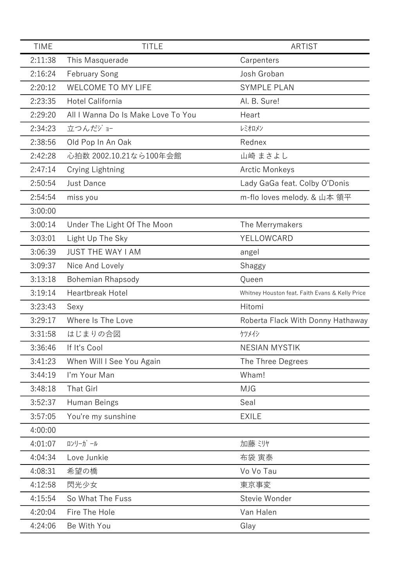| <b>TIME</b> | <b>TITLE</b>                       | <b>ARTIST</b>                                   |
|-------------|------------------------------------|-------------------------------------------------|
| 2:11:38     | This Masquerade                    | Carpenters                                      |
| 2:16:24     | <b>February Song</b>               | Josh Groban                                     |
| 2:20:12     | <b>WELCOME TO MY LIFE</b>          | <b>SYMPLE PLAN</b>                              |
| 2:23:35     | Hotel California                   | Al. B. Sure!                                    |
| 2:29:20     | All I Wanna Do Is Make Love To You | Heart                                           |
| 2:34:23     | 立つんだジョー                            | レミオロメン                                          |
| 2:38:56     | Old Pop In An Oak                  | Rednex                                          |
| 2:42:28     | 心拍数 2002.10.21なら100年会館             | 山崎 まさよし                                         |
| 2:47:14     | Crying Lightning                   | <b>Arctic Monkeys</b>                           |
| 2:50:54     | <b>Just Dance</b>                  | Lady GaGa feat. Colby O'Donis                   |
| 2:54:54     | miss you                           | m-flo loves melody. & 山本 領平                     |
| 3:00:00     |                                    |                                                 |
| 3:00:14     | Under The Light Of The Moon        | The Merrymakers                                 |
| 3:03:01     | Light Up The Sky                   | YELLOWCARD                                      |
| 3:06:39     | <b>JUST THE WAY I AM</b>           | angel                                           |
| 3:09:37     | Nice And Lovely                    | Shaggy                                          |
| 3:13:18     | <b>Bohemian Rhapsody</b>           | Queen                                           |
| 3:19:14     | <b>Heartbreak Hotel</b>            | Whitney Houston feat. Faith Evans & Kelly Price |
| 3:23:43     | Sexy                               | Hitomi                                          |
| 3:29:17     | Where Is The Love                  | Roberta Flack With Donny Hathaway               |
| 3:31:58     | はじまりの合図                            | ケツメイシ                                           |
| 3:36:46     | If It's Cool                       | <b>NESIAN MYSTIK</b>                            |
| 3:41:23     | When Will I See You Again          | The Three Degrees                               |
| 3:44:19     | I'm Your Man                       | Wham!                                           |
| 3:48:18     | That Girl                          | <b>MJG</b>                                      |
| 3:52:37     | Human Beings                       | Seal                                            |
| 3:57:05     | You're my sunshine                 | <b>EXILE</b>                                    |
| 4:00:00     |                                    |                                                 |
| 4:01:07     | ロンリーガール                            | 加藤 ミリヤ                                          |
| 4:04:34     | Love Junkie                        | 布袋 寅泰                                           |
| 4:08:31     | 希望の橋                               | Vo Vo Tau                                       |
| 4:12:58     | 閃光少女                               | 東京事変                                            |
| 4:15:54     | So What The Fuss                   | Stevie Wonder                                   |
| 4:20:04     | Fire The Hole                      | Van Halen                                       |
| 4:24:06     | Be With You                        | Glay                                            |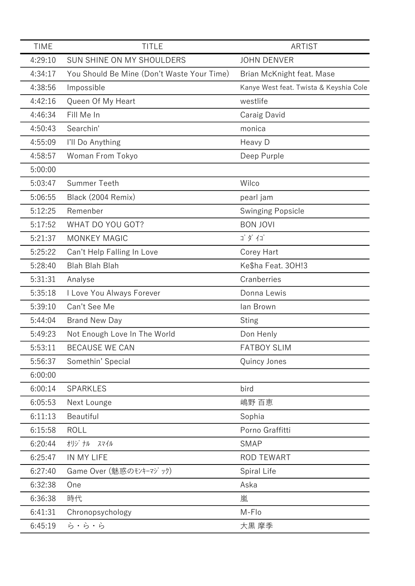| <b>TIME</b> | <b>TITLE</b>                               | <b>ARTIST</b>                          |
|-------------|--------------------------------------------|----------------------------------------|
| 4:29:10     | SUN SHINE ON MY SHOULDERS                  | <b>JOHN DENVER</b>                     |
| 4:34:17     | You Should Be Mine (Don't Waste Your Time) | Brian McKnight feat. Mase              |
| 4:38:56     | Impossible                                 | Kanye West feat. Twista & Keyshia Cole |
| 4:42:16     | Queen Of My Heart                          | westlife                               |
| 4:46:34     | Fill Me In                                 | Caraig David                           |
| 4:50:43     | Searchin'                                  | monica                                 |
| 4:55:09     | I'll Do Anything                           | Heavy D                                |
| 4:58:57     | Woman From Tokyo                           | Deep Purple                            |
| 5:00:00     |                                            |                                        |
| 5:03:47     | Summer Teeth                               | Wilco                                  |
| 5:06:55     | Black (2004 Remix)                         | pearl jam                              |
| 5:12:25     | Remenber                                   | <b>Swinging Popsicle</b>               |
| 5:17:52     | WHAT DO YOU GOT?                           | <b>BON JOVI</b>                        |
| 5:21:37     | <b>MONKEY MAGIC</b>                        | ゴダイゴ                                   |
| 5:25:22     | Can't Help Falling In Love                 | Corey Hart                             |
| 5:28:40     | <b>Blah Blah Blah</b>                      | Ke\$ha Feat. 30H!3                     |
| 5:31:31     | Analyse                                    | Cranberries                            |
| 5:35:18     | I Love You Always Forever                  | Donna Lewis                            |
| 5:39:10     | Can't See Me                               | lan Brown                              |
| 5:44:04     | <b>Brand New Day</b>                       | <b>Sting</b>                           |
| 5:49:23     | Not Enough Love In The World               | Don Henly                              |
| 5:53:11     | <b>BECAUSE WE CAN</b>                      | <b>FATBOY SLIM</b>                     |
| 5:56:37     | Somethin' Special                          | Quincy Jones                           |
| 6:00:00     |                                            |                                        |
| 6:00:14     | SPARKLES                                   | bird                                   |
| 6:05:53     | Next Lounge                                | 嶋野 百恵                                  |
| 6:11:13     | Beautiful                                  | Sophia                                 |
| 6:15:58     | <b>ROLL</b>                                | Porno Graffitti                        |
| 6:20:44     | オリジナル<br>スマイル                              | <b>SMAP</b>                            |
| 6:25:47     | IN MY LIFE                                 | <b>ROD TEWART</b>                      |
| 6:27:40     | Game Over (魅惑のモンキーマジック)                    | Spiral Life                            |
| 6:32:38     | One                                        | Aska                                   |
| 6:36:38     | 時代                                         | 嵐                                      |
| 6:41:31     | Chronopsychology                           | M-Flo                                  |
| 6:45:19     | ら・ら・ら                                      | 大黒 摩季                                  |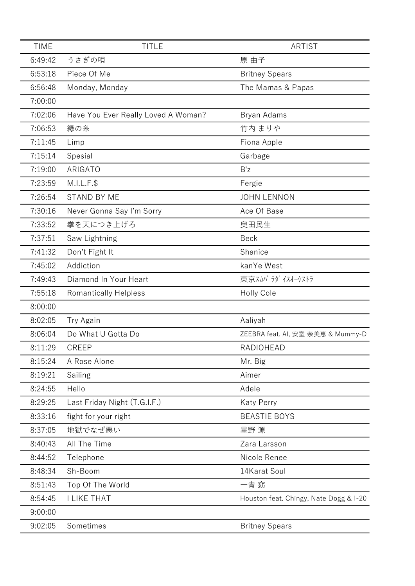| <b>TIME</b> | <b>TITLE</b>                        | <b>ARTIST</b>                          |
|-------------|-------------------------------------|----------------------------------------|
| 6:49:42     | うさぎの唄                               | 原 由子                                   |
| 6:53:18     | Piece Of Me                         | <b>Britney Spears</b>                  |
| 6:56:48     | Monday, Monday                      | The Mamas & Papas                      |
| 7:00:00     |                                     |                                        |
| 7:02:06     | Have You Ever Really Loved A Woman? | Bryan Adams                            |
| 7:06:53     | 縁の糸                                 | 竹内 まりや                                 |
| 7:11:45     | Limp                                | Fiona Apple                            |
| 7:15:14     | Spesial                             | Garbage                                |
| 7:19:00     | ARIGATO                             | B'z                                    |
| 7:23:59     | $M.I.L.F.\$                         | Fergie                                 |
| 7:26:54     | <b>STAND BY ME</b>                  | <b>JOHN LENNON</b>                     |
| 7:30:16     | Never Gonna Say I'm Sorry           | Ace Of Base                            |
| 7:33:52     | 拳を天につき上げろ                           | 奥田民生                                   |
| 7:37:51     | Saw Lightning                       | <b>Beck</b>                            |
| 7:41:32     | Don't Fight It                      | Shanice                                |
| 7:45:02     | Addiction                           | kanYe West                             |
| 7:49:43     | Diamond In Your Heart               | 東京スカパラダイスオーケストラ                        |
| 7:55:18     | <b>Romantically Helpless</b>        | Holly Cole                             |
| 8:00:00     |                                     |                                        |
| 8:02:05     | Try Again                           | Aaliyah                                |
| 8:06:04     | Do What U Gotta Do                  | ZEEBRA feat. AI, 安室 奈美恵 & Mummy-D      |
| 8:11:29     | <b>CREEP</b>                        | <b>RADIOHEAD</b>                       |
| 8:15:24     | A Rose Alone                        | Mr. Big                                |
| 8:19:21     | Sailing                             | Aimer                                  |
| 8:24:55     | Hello                               | Adele                                  |
| 8:29:25     | Last Friday Night (T.G.I.F.)        | <b>Katy Perry</b>                      |
| 8:33:16     | fight for your right                | <b>BEASTIE BOYS</b>                    |
| 8:37:05     | 地獄でなぜ悪い                             | 星野源                                    |
| 8:40:43     | All The Time                        | Zara Larsson                           |
| 8:44:52     | Telephone                           | Nicole Renee                           |
| 8:48:34     | Sh-Boom                             | 14Karat Soul                           |
| 8:51:43     | Top Of The World                    | 一青 窈                                   |
| 8:54:45     | <b>I LIKE THAT</b>                  | Houston feat. Chingy, Nate Dogg & I-20 |
| 9:00:00     |                                     |                                        |
| 9:02:05     | Sometimes                           | <b>Britney Spears</b>                  |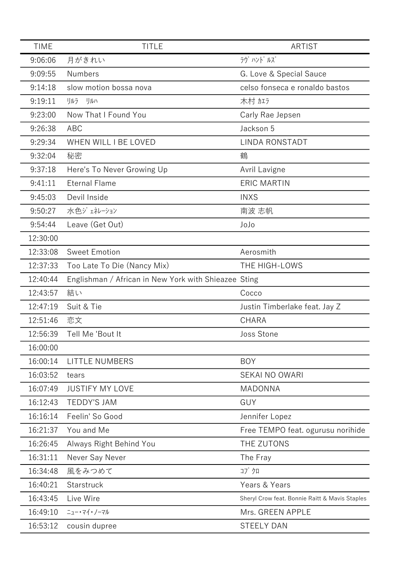| <b>TIME</b> | <b>TITLE</b>                                         | <b>ARTIST</b>                                  |
|-------------|------------------------------------------------------|------------------------------------------------|
| 9:06:06     | 月がきれい                                                | ラヴ ハンド ルズ                                      |
| 9:09:55     | <b>Numbers</b>                                       | G. Love & Special Sauce                        |
| 9:14:18     | slow motion bossa nova                               | celso fonseca e ronaldo bastos                 |
| 9:19:11     | リルハ<br>リルラ                                           | 木村加方                                           |
| 9:23:00     | Now That I Found You                                 | Carly Rae Jepsen                               |
| 9:26:38     | <b>ABC</b>                                           | Jackson 5                                      |
| 9:29:34     | WHEN WILL I BE LOVED                                 | LINDA RONSTADT                                 |
| 9:32:04     | 秘密                                                   | 鶴                                              |
| 9:37:18     | Here's To Never Growing Up                           | Avril Lavigne                                  |
| 9:41:11     | <b>Eternal Flame</b>                                 | <b>ERIC MARTIN</b>                             |
| 9:45:03     | Devil Inside                                         | <b>INXS</b>                                    |
| 9:50:27     | 水色ジェネレーション                                           | 南波 志帆                                          |
| 9:54:44     | Leave (Get Out)                                      | JoJo                                           |
| 12:30:00    |                                                      |                                                |
| 12:33:08    | <b>Sweet Emotion</b>                                 | Aerosmith                                      |
| 12:37:33    | Too Late To Die (Nancy Mix)                          | THE HIGH-LOWS                                  |
| 12:40:44    | Englishman / African in New York with Shieazee Sting |                                                |
| 12:43:57    | 結い                                                   | Cocco                                          |
| 12:47:19    | Suit & Tie                                           | Justin Timberlake feat. Jay Z                  |
| 12:51:46    | 恋文                                                   | <b>CHARA</b>                                   |
| 12:56:39    | Tell Me 'Bout It                                     | Joss Stone                                     |
| 16:00:00    |                                                      |                                                |
| 16:00:14    | <b>LITTLE NUMBERS</b>                                | <b>BOY</b>                                     |
| 16:03:52    | tears                                                | <b>SEKAI NO OWARI</b>                          |
| 16:07:49    | <b>JUSTIFY MY LOVE</b>                               | <b>MADONNA</b>                                 |
| 16:12:43    | <b>TEDDY'S JAM</b>                                   | GUY                                            |
| 16:16:14    | Feelin' So Good                                      | Jennifer Lopez                                 |
| 16:21:37    | You and Me                                           | Free TEMPO feat. ogurusu norihide              |
| 16:26:45    | Always Right Behind You                              | THE ZUTONS                                     |
| 16:31:11    | Never Say Never                                      | The Fray                                       |
| 16:34:48    | 風をみつめて                                               | コブクロ                                           |
| 16:40:21    | Starstruck                                           | Years & Years                                  |
| 16:43:45    | Live Wire                                            | Sheryl Crow feat. Bonnie Raitt & Mavis Staples |
| 16:49:10    | ニュー・マイ・ノーマル                                          | Mrs. GREEN APPLE                               |
| 16:53:12    | cousin dupree                                        | <b>STEELY DAN</b>                              |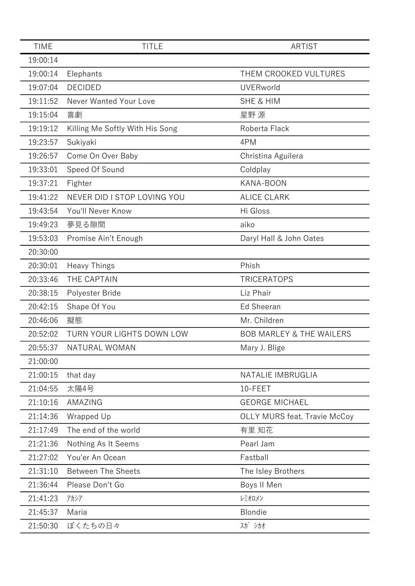| <b>TIME</b> | <b>TITLE</b>                    | <b>ARTIST</b>                       |
|-------------|---------------------------------|-------------------------------------|
| 19:00:14    |                                 |                                     |
| 19:00:14    | Elephants                       | THEM CROOKED VULTURES               |
| 19:07:04    | <b>DECIDED</b>                  | <b>UVERworld</b>                    |
| 19:11:52    | Never Wanted Your Love          | <b>SHE &amp; HIM</b>                |
| 19:15:04    | 喜劇                              | 星野源                                 |
| 19:19:12    | Killing Me Softly With His Song | Roberta Flack                       |
| 19:23:57    | Sukiyaki                        | 4PM                                 |
| 19:26:57    | Come On Over Baby               | Christina Aguilera                  |
| 19:33:01    | Speed Of Sound                  | Coldplay                            |
| 19:37:21    | Fighter                         | KANA-BOON                           |
| 19:41:22    | NEVER DID I STOP LOVING YOU     | <b>ALICE CLARK</b>                  |
| 19:43:54    | You'll Never Know               | Hi Gloss                            |
| 19:49:23    | 夢見る隙間                           | aiko                                |
| 19:53:03    | Promise Ain't Enough            | Daryl Hall & John Oates             |
| 20:30:00    |                                 |                                     |
| 20:30:01    | <b>Heavy Things</b>             | Phish                               |
| 20:33:46    | THE CAPTAIN                     | <b>TRICERATOPS</b>                  |
| 20:38:15    | Polyester Bride                 | Liz Phair                           |
| 20:42:15    | Shape Of You                    | <b>Ed Sheeran</b>                   |
| 20:46:06    | 擬態                              | Mr. Children                        |
| 20:52:02    | TURN YOUR LIGHTS DOWN LOW       | <b>BOB MARLEY &amp; THE WAILERS</b> |
| 20:55:37    | NATURAL WOMAN                   | Mary J. Blige                       |
| 21:00:00    |                                 |                                     |
| 21:00:15    | that day                        | NATALIE IMBRUGLIA                   |
| 21:04:55    | 太陽4号                            | 10-FEET                             |
| 21:10:16    | AMAZING                         | <b>GEORGE MICHAEL</b>               |
| 21:14:36    | Wrapped Up                      | <b>OLLY MURS feat. Travie McCoy</b> |
| 21:17:49    | The end of the world            | 有里 知花                               |
| 21:21:36    | Nothing As It Seems             | Pearl Jam                           |
| 21:27:02    | You'er An Ocean                 | Fastball                            |
| 21:31:10    | <b>Between The Sheets</b>       | The Isley Brothers                  |
| 21:36:44    | Please Don't Go                 | Boys II Men                         |
| 21:41:23    | アカシア                            | レミオロメン                              |
| 21:45:37    | Maria                           | Blondie                             |
| 21:50:30    | ぼくたちの日々                         | スガ シカオ                              |